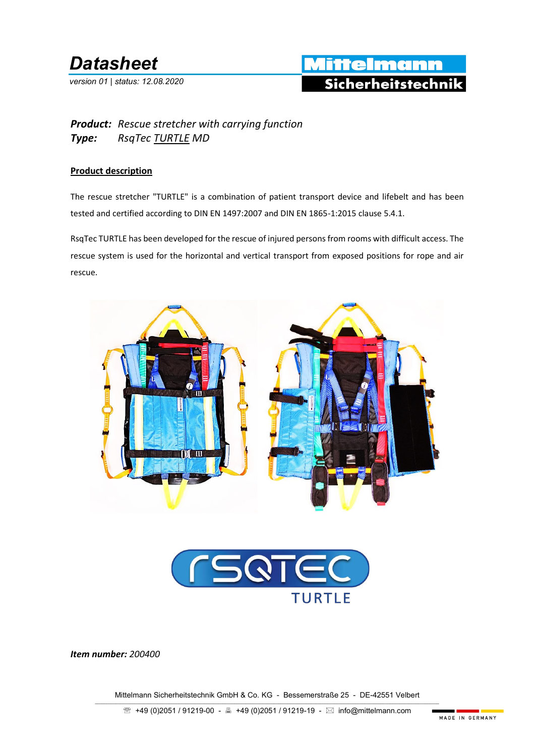## *Datasheet*

*version 01 | status: 12.08.2020*

### Mittelmann Sicherheitstechnik

#### *Product: Rescue stretcher with carrying function Type: RsqTec TURTLE MD*

#### **Product description**

The rescue stretcher "TURTLE" is a combination of patient transport device and lifebelt and has been tested and certified according to DIN EN 1497:2007 and DIN EN 1865-1:2015 clause 5.4.1.

RsqTec TURTLE has been developed for the rescue of injured persons from rooms with difficult access. The rescue system is used for the horizontal and vertical transport from exposed positions for rope and air rescue.





*Item number: 200400*

Mittelmann Sicherheitstechnik GmbH & Co. KG - Bessemerstraße 25 - DE-42551 Velbert  $\_$  , and the set of the set of the set of the set of the set of the set of the set of the set of the set of the set of the set of the set of the set of the set of the set of the set of the set of the set of the set of th